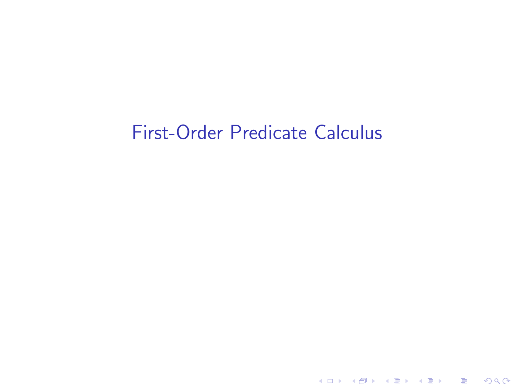## First-Order Predicate Calculus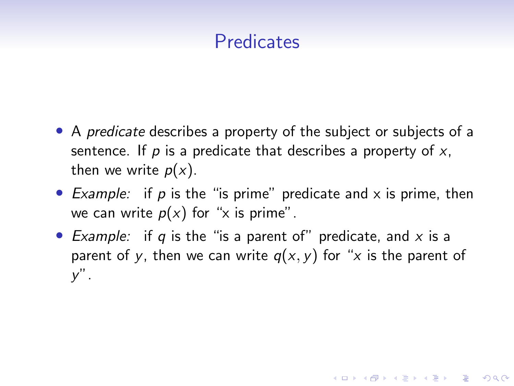## **Predicates**

- A *predicate* describes a property of the subject or subjects of a sentence. If  $p$  is a predicate that describes a property of  $x$ , then we write  $p(x)$ .
- Example: if p is the "is prime" predicate and  $\times$  is prime, then we can write  $p(x)$  for "x is prime".
- Example: if q is the "is a parent of" predicate, and  $x$  is a parent of y, then we can write  $q(x, y)$  for "x is the parent of  $y''$ .

**KORKARYKERKER POLO**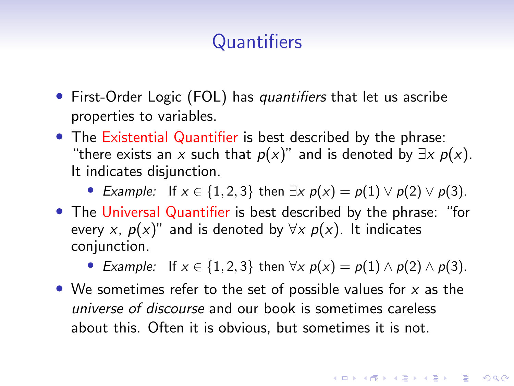# **Quantifiers**

- First-Order Logic (FOL) has quantifiers that let us ascribe properties to variables.
- The Existential Quantifier is best described by the phrase: "there exists an x such that  $p(x)$ " and is denoted by  $\exists x \ p(x)$ . It indicates disjunction.

• Example: If  $x \in \{1, 2, 3\}$  then  $\exists x \ p(x) = p(1) \lor p(2) \lor p(3)$ .

• The Universal Quantifier is best described by the phrase: "for every x,  $p(x)$ " and is denoted by  $\forall x p(x)$ . It indicates conjunction.

• Example: If  $x \in \{1, 2, 3\}$  then  $\forall x \ p(x) = p(1) \land p(2) \land p(3)$ .

• We sometimes refer to the set of possible values for  $x$  as the universe of discourse and our book is sometimes careless about this. Often it is obvious, but sometimes it is not.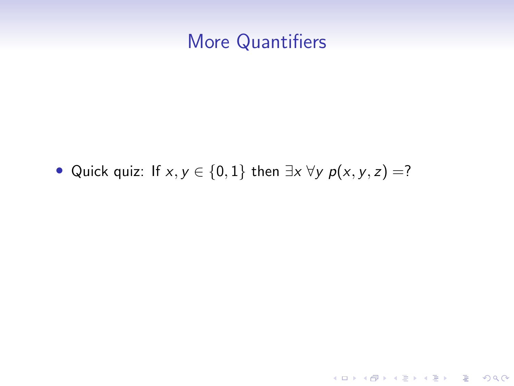### More Quantifiers

• Quick quiz: If  $x, y \in \{0, 1\}$  then  $\exists x \forall y \ p(x, y, z) = ?$ 

**Kロトメ部トメミトメミト ミニのQC**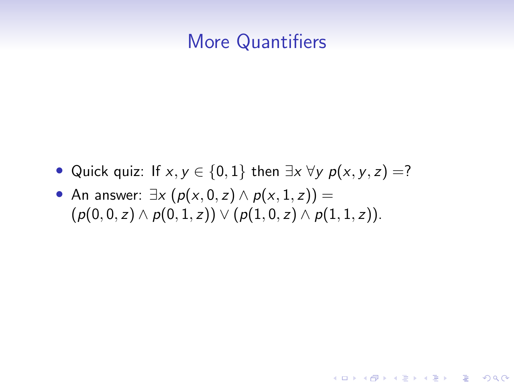#### More Quantifiers

• Quick quiz: If  $x, y \in \{0, 1\}$  then  $\exists x \forall y \ p(x, y, z) =?$ 

**KORKARYKERKER POLO** 

• An answer:  $\exists x \ (p(x, 0, z) \land p(x, 1, z)) =$  $(p(0, 0, z) \wedge p(0, 1, z)) \vee (p(1, 0, z) \wedge p(1, 1, z)).$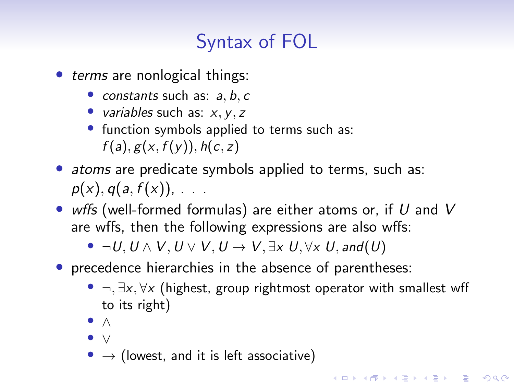# Syntax of FOL

- terms are nonlogical things:
	- constants such as:  $a, b, c$
	- variables such as:  $x, y, z$
	- function symbols applied to terms such as:  $f(a), g(x, f(y)), h(c, z)$
- atoms are predicate symbols applied to terms, such as:  $p(x)$ ,  $q(a, f(x))$ , ...
- wffs (well-formed formulas) are either atoms or, if U and V are wffs, then the following expressions are also wffs:
	- $\neg U, U \wedge V, U \vee V, U \rightarrow V, \exists x \ U, \forall x \ U, \mathit{and}(U)$
- precedence hierarchies in the absence of parentheses:
	- $\neg$ ,  $\exists x, \forall x$  (highest, group rightmost operator with smallest wff to its right)

**KORKAR KERKER SAGA** 

- ∧
- ∨
- $\bullet \rightarrow$  (lowest, and it is left associative)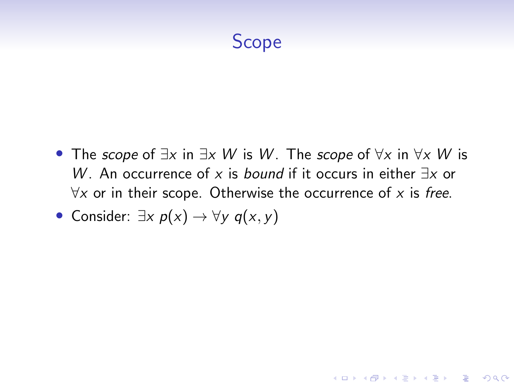## Scope

• The scope of  $\exists x$  in  $\exists x \ W$  is W. The scope of  $\forall x$  in  $\forall x \ W$  is W. An occurrence of x is *bound* if it occurs in either  $\exists x$  or  $\forall x$  or in their scope. Otherwise the occurrence of x is free.

**KORKARYKERKER POLO** 

• Consider:  $\exists x \ p(x) \rightarrow \forall y \ q(x, y)$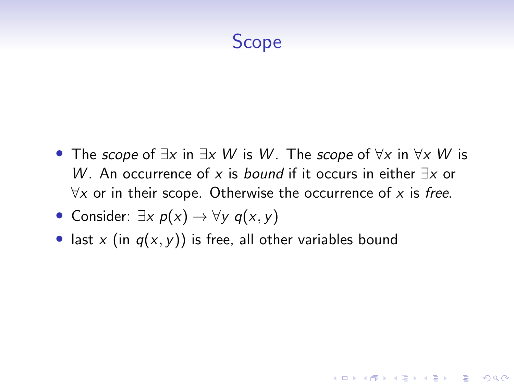## Scope

• The scope of  $\exists x$  in  $\exists x \ W$  is W. The scope of  $\forall x$  in  $\forall x \ W$  is W. An occurrence of x is *bound* if it occurs in either  $\exists x$  or  $\forall x$  or in their scope. Otherwise the occurrence of x is free.

**KORKARYKERKER POLO** 

- Consider:  $\exists x \ p(x) \rightarrow \forall y \ q(x, y)$
- last x (in  $q(x, y)$ ) is free, all other variables bound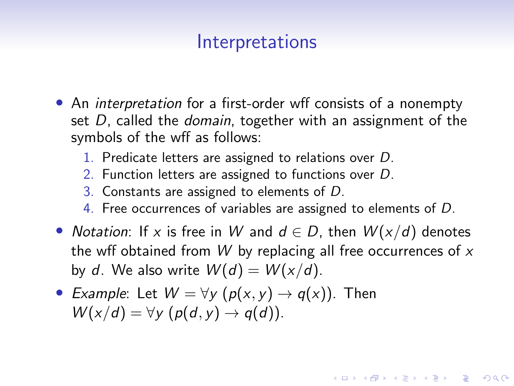#### **Interpretations**

- An *interpretation* for a first-order wff consists of a nonempty set D, called the *domain*, together with an assignment of the symbols of the wff as follows:
	- 1. Predicate letters are assigned to relations over D.
	- 2. Function letters are assigned to functions over D.
	- 3. Constants are assigned to elements of D.
	- 4. Free occurrences of variables are assigned to elements of D.
- Notation: If x is free in W and  $d \in D$ , then  $W(x/d)$  denotes the wff obtained from  $W$  by replacing all free occurrences of  $x$ by d. We also write  $W(d) = W(x/d)$ .

**KORKAR KERKER SAGA** 

• Example: Let  $W = \forall y \ (p(x, y) \rightarrow q(x))$ . Then  $W(x/d) = \forall y \ (p(d, y) \rightarrow q(d)).$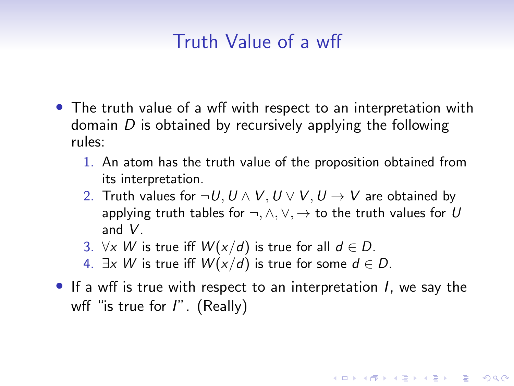## Truth Value of a wff

- The truth value of a wff with respect to an interpretation with domain  $D$  is obtained by recursively applying the following rules:
	- 1. An atom has the truth value of the proposition obtained from its interpretation.
	- 2. Truth values for  $\neg U, U \wedge V, U \vee V, U \rightarrow V$  are obtained by applying truth tables for  $\neg, \wedge, \vee, \rightarrow$  to the truth values for U and V.
	- 3. ∀x W is true iff  $W(x/d)$  is true for all  $d \in D$ .
	- 4.  $\exists x \ W$  is true iff  $W(x/d)$  is true for some  $d \in D$ .
- If a wff is true with respect to an interpretation I, we say the wff "is true for  $I''$ . (Really)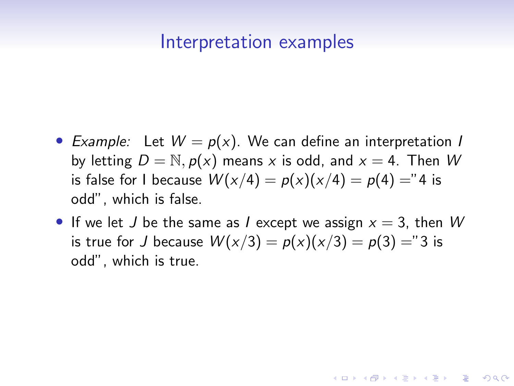#### Interpretation examples

- Example: Let  $W = p(x)$ . We can define an interpretation I by letting  $D = N$ ,  $p(x)$  means x is odd, and  $x = 4$ . Then W is false for I because  $W(x/4) = p(x)(x/4) = p(4) = 4$  is odd", which is false.
- If we let J be the same as I except we assign  $x = 3$ , then W is true for J because  $W(x/3) = p(x)(x/3) = p(3) = 3$  is odd", which is true.

**KORKAR KERKER SAGA**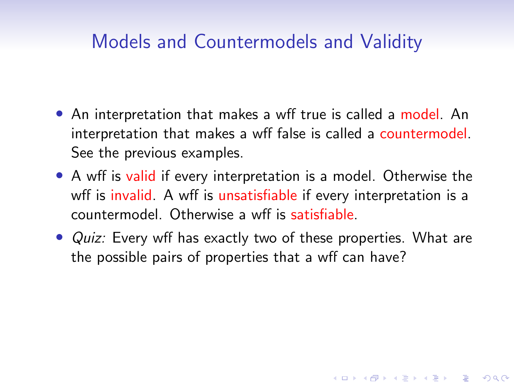## Models and Countermodels and Validity

- An interpretation that makes a wff true is called a model. An interpretation that makes a wff false is called a countermodel. See the previous examples.
- A wff is valid if every interpretation is a model. Otherwise the wff is invalid. A wff is unsatisfiable if every interpretation is a countermodel. Otherwise a wff is satisfiable.
- Quiz: Every wff has exactly two of these properties. What are the possible pairs of properties that a wff can have?

K ロ ▶ K 個 ▶ K 할 ▶ K 할 ▶ 이 할 → 9 Q Q →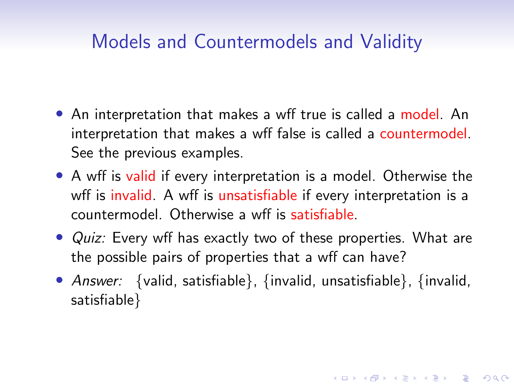## Models and Countermodels and Validity

- An interpretation that makes a wff true is called a model. An interpretation that makes a wff false is called a countermodel. See the previous examples.
- A wff is valid if every interpretation is a model. Otherwise the wff is invalid. A wff is unsatisfiable if every interpretation is a countermodel. Otherwise a wff is satisfiable.
- Quiz: Every wff has exactly two of these properties. What are the possible pairs of properties that a wff can have?
- Answer: {valid, satisfiable}, {invalid, unsatisfiable}, {invalid, satisfiable}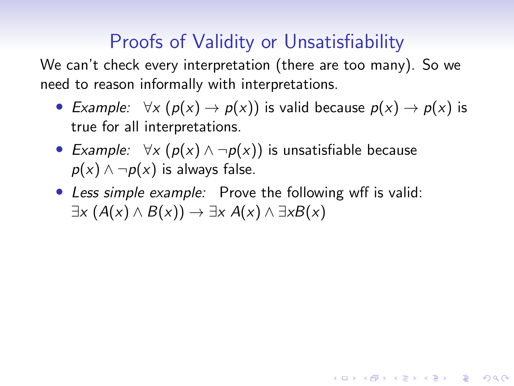# Proofs of Validity or Unsatisfiability

We can't check every interpretation (there are too many). So we need to reason informally with interpretations.

• Example:  $\forall x (p(x) \rightarrow p(x))$  is valid because  $p(x) \rightarrow p(x)$  is true for all interpretations.

**KORKAR KERKER SAGA** 

- Example:  $\forall x (\rho(x) \land \neg \rho(x))$  is unsatisfiable because  $p(x) \wedge \neg p(x)$  is always false.
- Less simple example: Prove the following wff is valid:  $\exists x (A(x) \land B(x)) \rightarrow \exists x A(x) \land \exists x B(x)$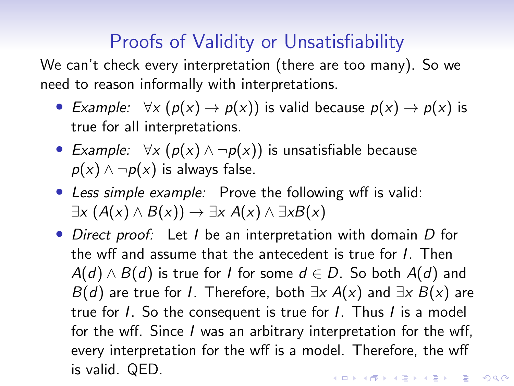## Proofs of Validity or Unsatisfiability

We can't check every interpretation (there are too many). So we need to reason informally with interpretations.

- Example:  $\forall x (\rho(x) \rightarrow \rho(x))$  is valid because  $\rho(x) \rightarrow \rho(x)$  is true for all interpretations.
- Example:  $\forall x (\rho(x) \land \neg \rho(x))$  is unsatisfiable because  $p(x) \wedge \neg p(x)$  is always false.
- Less simple example: Prove the following wff is valid:  $\exists x (A(x) \land B(x)) \rightarrow \exists x A(x) \land \exists x B(x)$
- Direct proof: Let I be an interpretation with domain D for the wff and assume that the antecedent is true for I. Then  $A(d) \wedge B(d)$  is true for I for some  $d \in D$ . So both  $A(d)$  and  $B(d)$  are true for *I*. Therefore, both  $\exists x A(x)$  and  $\exists x B(x)$  are true for I. So the consequent is true for I. Thus I is a model for the wff. Since I was an arbitrary interpretation for the wff, every interpretation for the wff is a model. Therefore, the wff is valid. QED.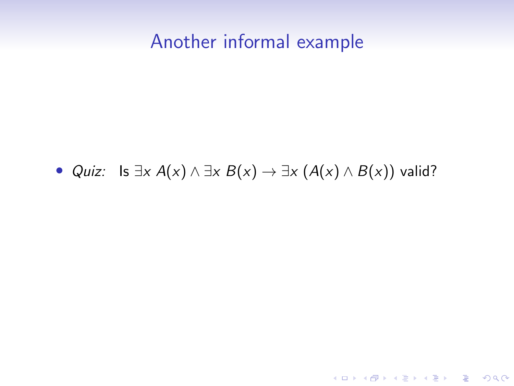### Another informal example

#### • *Quiz:* Is  $\exists x A(x) \land \exists x B(x) \rightarrow \exists x (A(x) \land B(x))$  valid?

K ロ ▶ K @ ▶ K 할 ▶ K 할 ▶ . 할 . ⊙ Q Q ^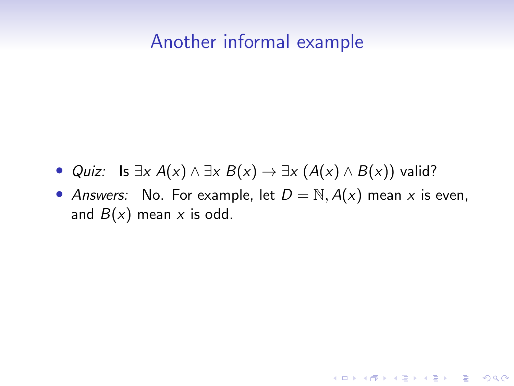### Another informal example

- *Quiz:* Is  $\exists x A(x) \land \exists x B(x) \rightarrow \exists x (A(x) \land B(x))$  valid?
- Answers: No. For example, let  $D = N$ ,  $A(x)$  mean x is even, and  $B(x)$  mean x is odd.

K ロ ▶ K 個 ▶ K 할 ▶ K 할 ▶ 이 할 → 9 Q Q →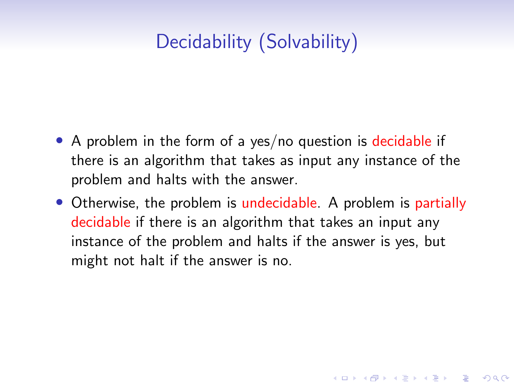# Decidability (Solvability)

- A problem in the form of a yes/no question is decidable if there is an algorithm that takes as input any instance of the problem and halts with the answer.
- Otherwise, the problem is undecidable. A problem is partially decidable if there is an algorithm that takes an input any instance of the problem and halts if the answer is yes, but might not halt if the answer is no.